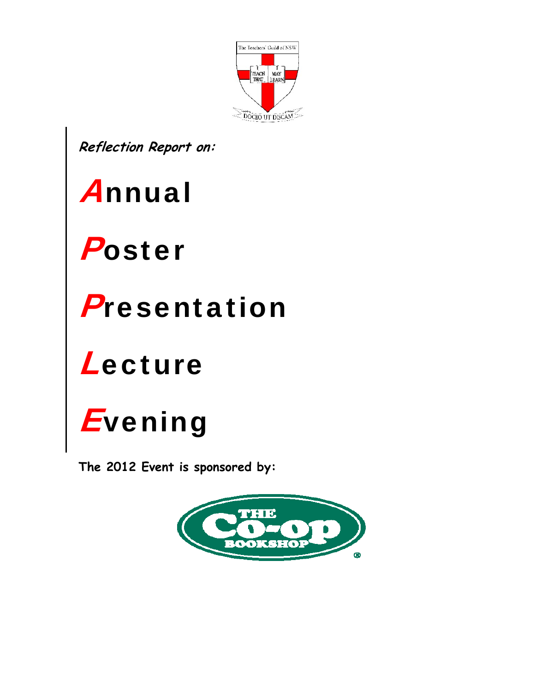

**Reflection Report on:** 

# Annual

# Poster

# **Presentation**

# *Lecture*



**The 2012 Event is sponsored by:** 

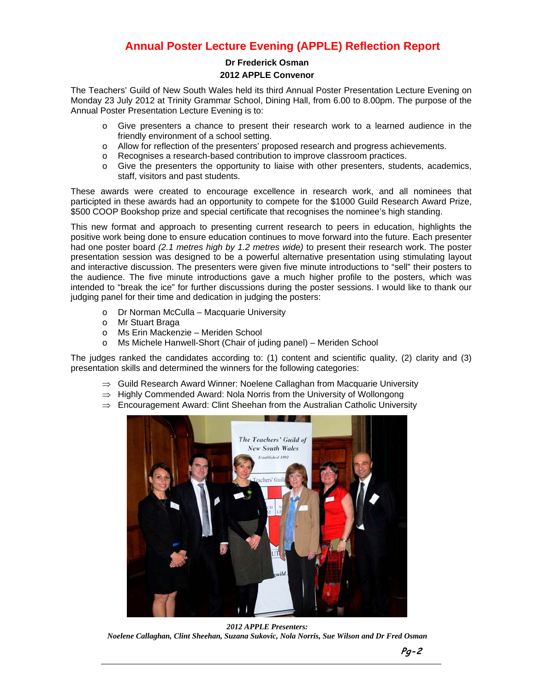# **Annual Poster Lecture Evening (APPLE) Reflection Report**

#### **Dr Frederick Osman**

#### **2012 APPLE Convenor**

The Teachers' Guild of New South Wales held its third Annual Poster Presentation Lecture Evening on Monday 23 July 2012 at Trinity Grammar School, Dining Hall, from 6.00 to 8.00pm. The purpose of the Annual Poster Presentation Lecture Evening is to:

- o Give presenters a chance to present their research work to a learned audience in the friendly environment of a school setting.
- o Allow for reflection of the presenters' proposed research and progress achievements.
- o Recognises a research-based contribution to improve classroom practices.
- o Give the presenters the opportunity to liaise with other presenters, students, academics, staff, visitors and past students.

These awards were created to encourage excellence in research work, and all nominees that participted in these awards had an opportunity to compete for the \$1000 Guild Research Award Prize, \$500 COOP Bookshop prize and special certificate that recognises the nominee's high standing.

This new format and approach to presenting current research to peers in education, highlights the positive work being done to ensure education continues to move forward into the future. Each presenter had one poster board *(2.1 metres high by 1.2 metres wide)* to present their research work. The poster presentation session was designed to be a powerful alternative presentation using stimulating layout and interactive discussion. The presenters were given five minute introductions to "sell" their posters to the audience. The five minute introductions gave a much higher profile to the posters, which was intended to "break the ice" for further discussions during the poster sessions. I would like to thank our judging panel for their time and dedication in judging the posters:

- o Dr Norman McCulla Macquarie University
- o Mr Stuart Braga
- o Ms Erin Mackenzie Meriden School
- o Ms Michele Hanwell-Short (Chair of juding panel) Meriden School

The judges ranked the candidates according to: (1) content and scientific quality, (2) clarity and (3) presentation skills and determined the winners for the following categories:

- ⇒ Guild Research Award Winner: Noelene Callaghan from Macquarie University
- ⇒ Highly Commended Award: Nola Norris from the University of Wollongong
- ⇒ Encouragement Award: Clint Sheehan from the Australian Catholic University



*2012 APPLE Presenters:* 

*Noelene Callaghan, Clint Sheehan, Suzana Sukovic, Nola Norris, Sue Wilson and Dr Fred Osman*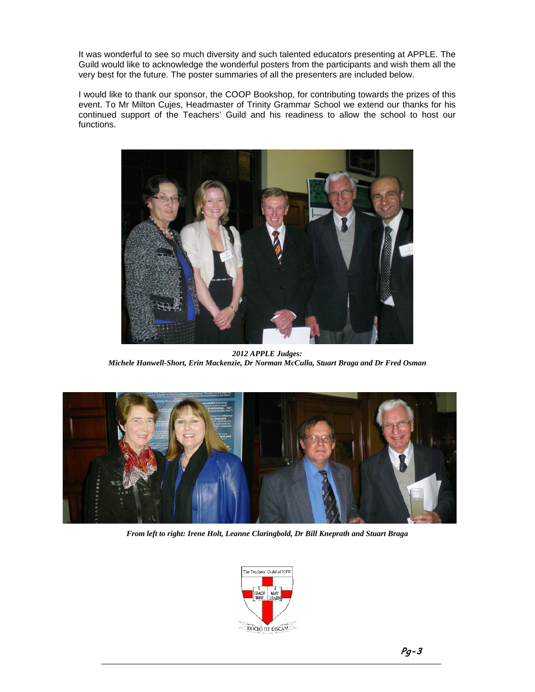It was wonderful to see so much diversity and such talented educators presenting at APPLE. The Guild would like to acknowledge the wonderful posters from the participants and wish them all the very best for the future. The poster summaries of all the presenters are included below.

I would like to thank our sponsor, the COOP Bookshop, for contributing towards the prizes of this event. To Mr Milton Cujes, Headmaster of Trinity Grammar School we extend our thanks for his continued support of the Teachers' Guild and his readiness to allow the school to host our functions.



*2012 APPLE Judges: Michele Hanwell-Short, Erin Mackenzie, Dr Norman McCulla, Stuart Braga and Dr Fred Osman* 



*From left to right: Irene Holt, Leanne Claringbold, Dr Bill Kneprath and Stuart Braga* 

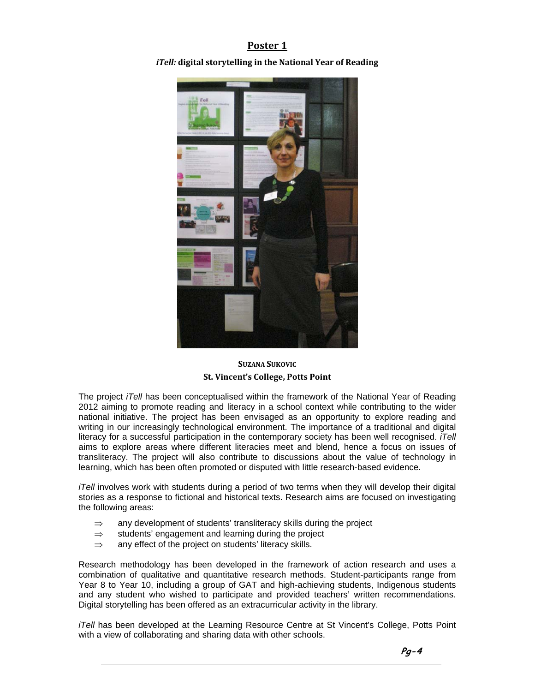*iTell:* **digital storytelling in the National Year of Reading**



### **SUZANA SUKOVIC St. Vincent's College, Potts Point**

The project *iTell* has been conceptualised within the framework of the National Year of Reading 2012 aiming to promote reading and literacy in a school context while contributing to the wider national initiative. The project has been envisaged as an opportunity to explore reading and writing in our increasingly technological environment. The importance of a traditional and digital literacy for a successful participation in the contemporary society has been well recognised. *iTell*  aims to explore areas where different literacies meet and blend, hence a focus on issues of transliteracy. The project will also contribute to discussions about the value of technology in learning, which has been often promoted or disputed with little research-based evidence.

*iTell* involves work with students during a period of two terms when they will develop their digital stories as a response to fictional and historical texts. Research aims are focused on investigating the following areas:

- $\Rightarrow$  any development of students' transliteracy skills during the project
- $\Rightarrow$  students' engagement and learning during the project
- $\Rightarrow$  any effect of the project on students' literacy skills.

Research methodology has been developed in the framework of action research and uses a combination of qualitative and quantitative research methods. Student-participants range from Year 8 to Year 10, including a group of GAT and high-achieving students, Indigenous students and any student who wished to participate and provided teachers' written recommendations. Digital storytelling has been offered as an extracurricular activity in the library.

*iTell* has been developed at the Learning Resource Centre at St Vincent's College, Potts Point with a view of collaborating and sharing data with other schools.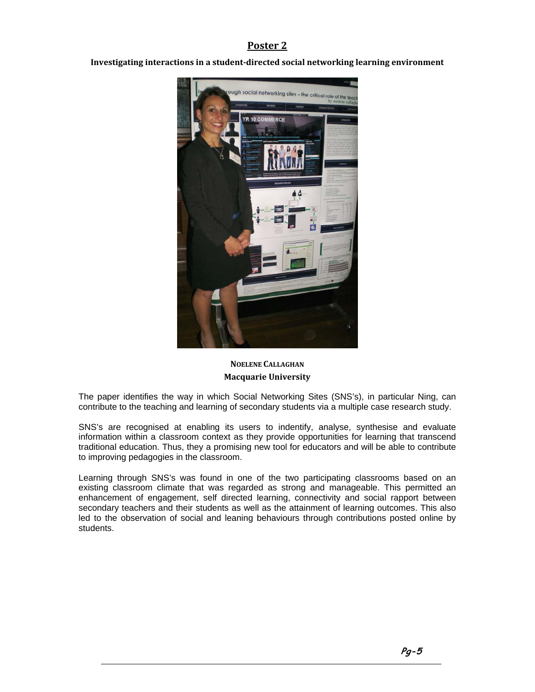**Investigating interactions in a studentdirected social networking learning environment**



**NOELENE CALLAGHAN Macquarie University**

The paper identifies the way in which Social Networking Sites (SNS's), in particular Ning, can contribute to the teaching and learning of secondary students via a multiple case research study.

SNS's are recognised at enabling its users to indentify, analyse, synthesise and evaluate information within a classroom context as they provide opportunities for learning that transcend traditional education. Thus, they a promising new tool for educators and will be able to contribute to improving pedagogies in the classroom.

Learning through SNS's was found in one of the two participating classrooms based on an existing classroom climate that was regarded as strong and manageable. This permitted an enhancement of engagement, self directed learning, connectivity and social rapport between secondary teachers and their students as well as the attainment of learning outcomes. This also led to the observation of social and leaning behaviours through contributions posted online by students.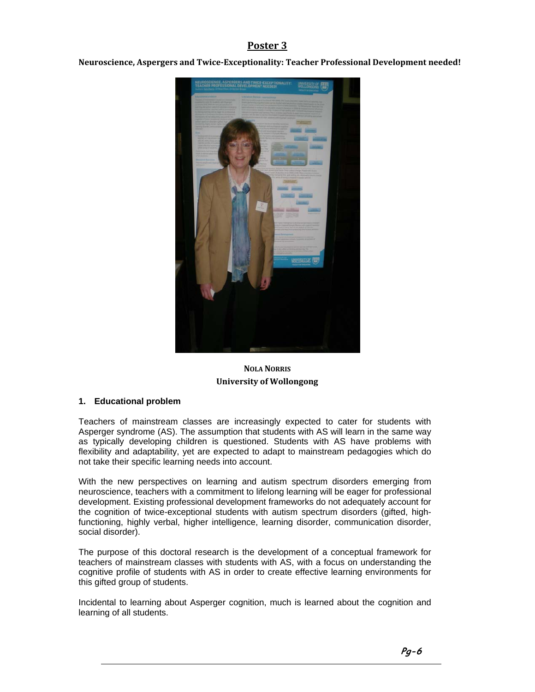**Neuroscience, Aspergers and TwiceExceptionality: Teacher Professional Development needed!**



## **NOLA NORRIS University of Wollongong**

#### **1. Educational problem**

Teachers of mainstream classes are increasingly expected to cater for students with Asperger syndrome (AS). The assumption that students with AS will learn in the same way as typically developing children is questioned. Students with AS have problems with flexibility and adaptability, yet are expected to adapt to mainstream pedagogies which do not take their specific learning needs into account.

With the new perspectives on learning and autism spectrum disorders emerging from neuroscience, teachers with a commitment to lifelong learning will be eager for professional development. Existing professional development frameworks do not adequately account for the cognition of twice-exceptional students with autism spectrum disorders (gifted, highfunctioning, highly verbal, higher intelligence, learning disorder, communication disorder, social disorder).

The purpose of this doctoral research is the development of a conceptual framework for teachers of mainstream classes with students with AS, with a focus on understanding the cognitive profile of students with AS in order to create effective learning environments for this gifted group of students.

Incidental to learning about Asperger cognition, much is learned about the cognition and learning of all students.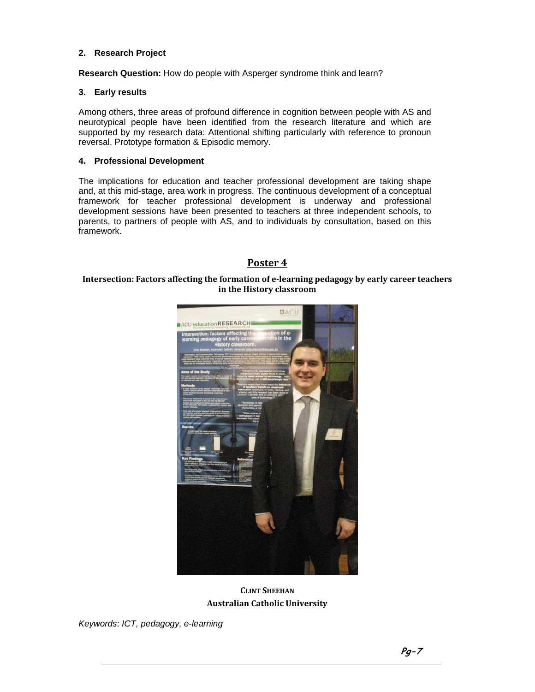#### **2. Research Project**

**Research Question:** How do people with Asperger syndrome think and learn?

#### **3. Early results**

Among others, three areas of profound difference in cognition between people with AS and neurotypical people have been identified from the research literature and which are supported by my research data: Attentional shifting particularly with reference to pronoun reversal, Prototype formation & Episodic memory.

#### **4. Professional Development**

The implications for education and teacher professional development are taking shape and, at this mid-stage, area work in progress. The continuous development of a conceptual framework for teacher professional development is underway and professional development sessions have been presented to teachers at three independent schools, to parents, to partners of people with AS, and to individuals by consultation, based on this framework.

#### **Poster 4**

#### **Intersection: Factors affecting the formation of elearning pedagogy by early career teachers in the History classroom**



**CLINT SHEEHAN Australian Catholic University**

*Keywords*: *ICT, pedagogy, e-learning*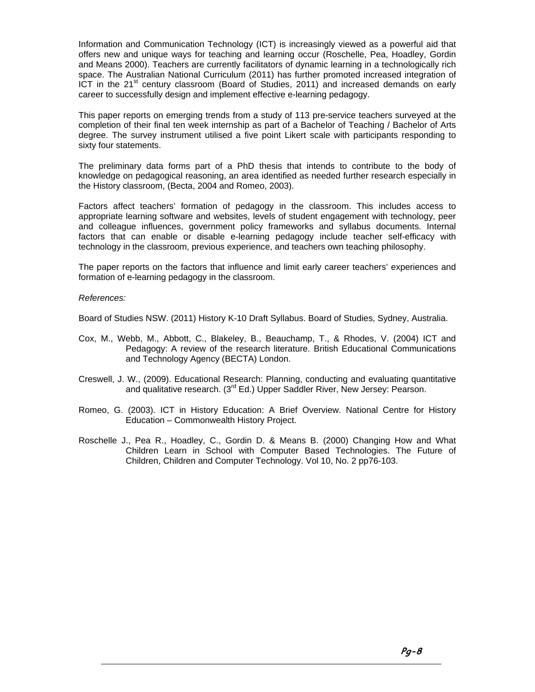Information and Communication Technology (ICT) is increasingly viewed as a powerful aid that offers new and unique ways for teaching and learning occur (Roschelle, Pea, Hoadley, Gordin and Means 2000). Teachers are currently facilitators of dynamic learning in a technologically rich space. The Australian National Curriculum (2011) has further promoted increased integration of ICT in the  $21<sup>st</sup>$  century classroom (Board of Studies, 2011) and increased demands on early career to successfully design and implement effective e-learning pedagogy.

This paper reports on emerging trends from a study of 113 pre-service teachers surveyed at the completion of their final ten week internship as part of a Bachelor of Teaching / Bachelor of Arts degree. The survey instrument utilised a five point Likert scale with participants responding to sixty four statements.

The preliminary data forms part of a PhD thesis that intends to contribute to the body of knowledge on pedagogical reasoning, an area identified as needed further research especially in the History classroom, (Becta, 2004 and Romeo, 2003).

Factors affect teachers' formation of pedagogy in the classroom. This includes access to appropriate learning software and websites, levels of student engagement with technology, peer and colleague influences, government policy frameworks and syllabus documents. Internal factors that can enable or disable e-learning pedagogy include teacher self-efficacy with technology in the classroom, previous experience, and teachers own teaching philosophy.

The paper reports on the factors that influence and limit early career teachers' experiences and formation of e-learning pedagogy in the classroom.

*References:* 

Board of Studies NSW. (2011) History K-10 Draft Syllabus. Board of Studies, Sydney, Australia.

- Cox, M., Webb, M., Abbott, C., Blakeley, B., Beauchamp, T., & Rhodes, V. (2004) ICT and Pedagogy: A review of the research literature. British Educational Communications and Technology Agency (BECTA) London.
- Creswell, J. W., (2009). Educational Research: Planning, conducting and evaluating quantitative and qualitative research. (3<sup>rd</sup> Ed.) Upper Saddler River, New Jersey: Pearson.
- Romeo, G. (2003). ICT in History Education: A Brief Overview. National Centre for History Education – Commonwealth History Project.
- Roschelle J., Pea R., Hoadley, C., Gordin D. & Means B. (2000) Changing How and What Children Learn in School with Computer Based Technologies. The Future of Children, Children and Computer Technology. Vol 10, No. 2 pp76-103.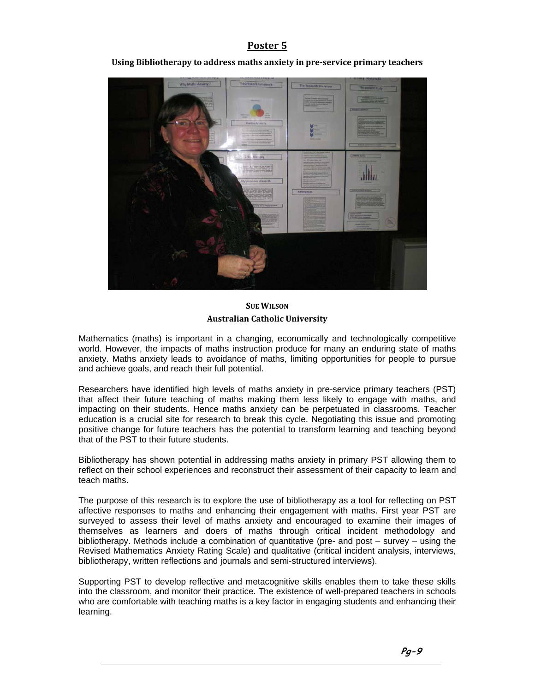**Using Bibliotherapy to address maths anxiety in preservice primary teachers**



**SUE WILSON Australian Catholic University**

Mathematics (maths) is important in a changing, economically and technologically competitive world. However, the impacts of maths instruction produce for many an enduring state of maths anxiety. Maths anxiety leads to avoidance of maths, limiting opportunities for people to pursue and achieve goals, and reach their full potential.

Researchers have identified high levels of maths anxiety in pre-service primary teachers (PST) that affect their future teaching of maths making them less likely to engage with maths, and impacting on their students. Hence maths anxiety can be perpetuated in classrooms. Teacher education is a crucial site for research to break this cycle. Negotiating this issue and promoting positive change for future teachers has the potential to transform learning and teaching beyond that of the PST to their future students.

Bibliotherapy has shown potential in addressing maths anxiety in primary PST allowing them to reflect on their school experiences and reconstruct their assessment of their capacity to learn and teach maths.

The purpose of this research is to explore the use of bibliotherapy as a tool for reflecting on PST affective responses to maths and enhancing their engagement with maths. First year PST are surveyed to assess their level of maths anxiety and encouraged to examine their images of themselves as learners and doers of maths through critical incident methodology and bibliotherapy. Methods include a combination of quantitative (pre- and post – survey – using the Revised Mathematics Anxiety Rating Scale) and qualitative (critical incident analysis, interviews, bibliotherapy, written reflections and journals and semi-structured interviews).

Supporting PST to develop reflective and metacognitive skills enables them to take these skills into the classroom, and monitor their practice. The existence of well-prepared teachers in schools who are comfortable with teaching maths is a key factor in engaging students and enhancing their learning.